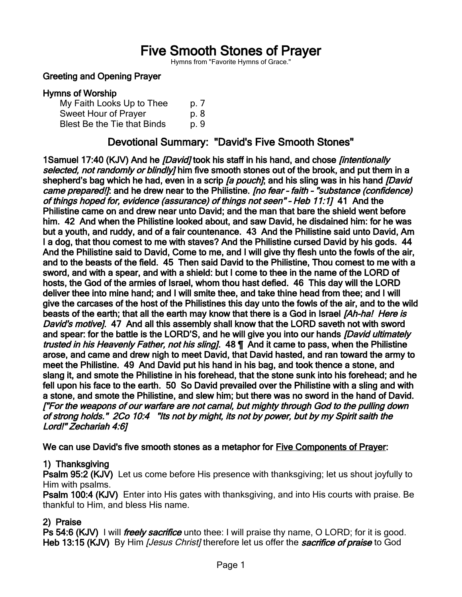# Five Smooth Stones of Prayer

Hymns from "Favorite Hymns of Grace."

#### Greeting and Opening Prayer

#### Hymns of Worship

| My Faith Looks Up to Thee   | p. 7 |
|-----------------------------|------|
| Sweet Hour of Prayer        | p. 8 |
| Blest Be the Tie that Binds | p. 9 |

# Devotional Summary: "David's Five Smooth Stones"

1Samuel 17:40 (KJV) And he *[David]* took his staff in his hand, and chose *[intentionally* selected, not randomly or blindly] him five smooth stones out of the brook, and put them in a shepherd's bag which he had, even in a scrip *[a pouch]*; and his sling was in his hand *[David* came prepared!]: and he drew near to the Philistine. [no fear - faith - "substance (confidence) of things hoped for, evidence (assurance) of things not seen" – Heb 11:1] 41 And the Philistine came on and drew near unto David; and the man that bare the shield went before him. 42 And when the Philistine looked about, and saw David, he disdained him: for he was but a youth, and ruddy, and of a fair countenance. 43 And the Philistine said unto David, Am I a dog, that thou comest to me with staves? And the Philistine cursed David by his gods. 44 And the Philistine said to David, Come to me, and I will give thy flesh unto the fowls of the air, and to the beasts of the field. 45 Then said David to the Philistine, Thou comest to me with a sword, and with a spear, and with a shield: but I come to thee in the name of the LORD of hosts, the God of the armies of Israel, whom thou hast defied. 46 This day will the LORD deliver thee into mine hand; and I will smite thee, and take thine head from thee; and I will give the carcases of the host of the Philistines this day unto the fowls of the air, and to the wild beasts of the earth; that all the earth may know that there is a God in Israel [Ah-ha! Here is David's motivel. 47 And all this assembly shall know that the LORD saveth not with sword and spear: for the battle is the LORD'S, and he will give you into our hands *[David ultimately* trusted in his Heavenly Father, not his sling]. 48  $\P$  And it came to pass, when the Philistine arose, and came and drew nigh to meet David, that David hasted, and ran toward the army to meet the Philistine. 49 And David put his hand in his bag, and took thence a stone, and slang it, and smote the Philistine in his forehead, that the stone sunk into his forehead; and he fell upon his face to the earth. 50 So David prevailed over the Philistine with a sling and with a stone, and smote the Philistine, and slew him; but there was no sword in the hand of David. ["For the weapons of our warfare are not carnal, but mighty through God to the pulling down of strong holds." 2Co 10:4 "Its not by might, its not by power, but by my Spirit saith the Lord!" Zechariah 4:6]

We can use David's five smooth stones as a metaphor for Five Components of Prayer:

#### 1) Thanksgiving

Psalm 95:2 (KJV) Let us come before His presence with thanksgiving; let us shout joyfully to Him with psalms.

Psalm 100:4 (KJV) Enter into His gates with thanksgiving, and into His courts with praise. Be thankful to Him, and bless His name.

#### 2) Praise

Ps 54:6 (KJV) I will *freely sacrifice* unto thee: I will praise thy name, O LORD; for it is good. Heb 13:15 (KJV) By Him [Jesus Christ] therefore let us offer the sacrifice of praise to God